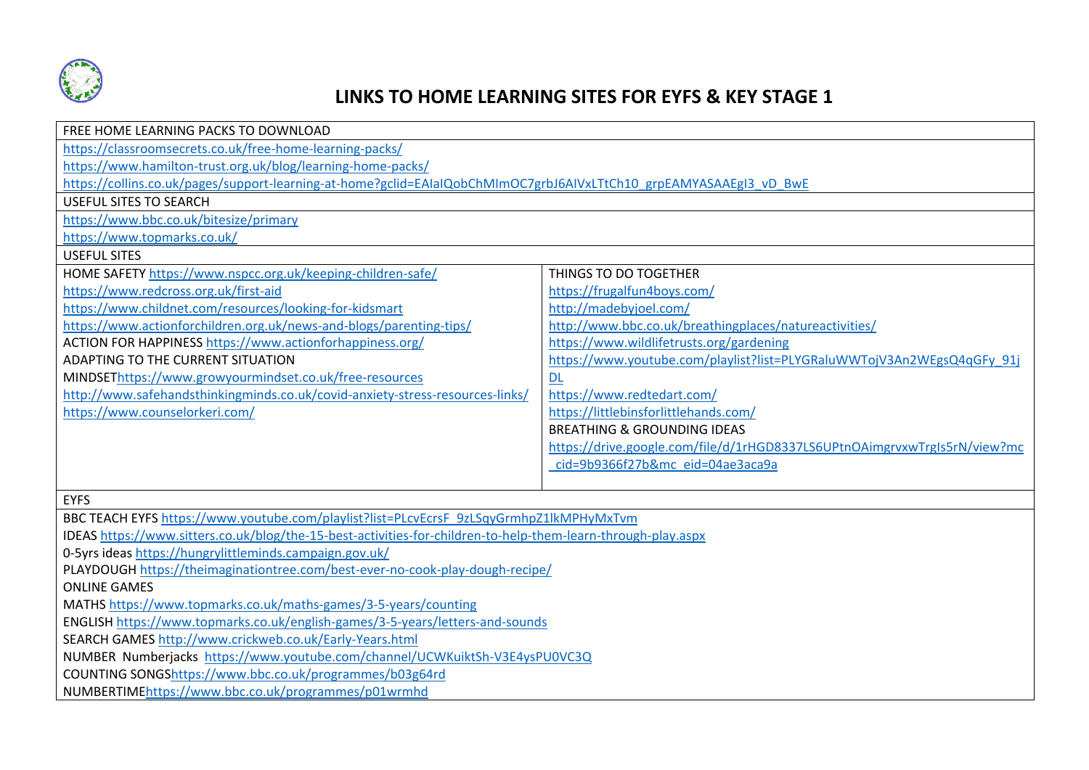

## **LINKS TO HOME LEARNING SITES FOR EYFS & KEY STAGE 1**

| FREE HOME LEARNING PACKS TO DOWNLOAD                                                                               |                                                                           |  |
|--------------------------------------------------------------------------------------------------------------------|---------------------------------------------------------------------------|--|
| https://classroomsecrets.co.uk/free-home-learning-packs/                                                           |                                                                           |  |
| https://www.hamilton-trust.org.uk/blog/learning-home-packs/                                                        |                                                                           |  |
| https://collins.co.uk/pages/support-learning-at-home?gclid=EAIaIQobChMImOC7grbJ6AIVxLTtCh10_grpEAMYASAAEgI3_vD_BwE |                                                                           |  |
| <b>USEFUL SITES TO SEARCH</b>                                                                                      |                                                                           |  |
| https://www.bbc.co.uk/bitesize/primary                                                                             |                                                                           |  |
| https://www.topmarks.co.uk/                                                                                        |                                                                           |  |
| <b>USEFUL SITES</b>                                                                                                |                                                                           |  |
| HOME SAFETY https://www.nspcc.org.uk/keeping-children-safe/                                                        | THINGS TO DO TOGETHER                                                     |  |
| https://www.redcross.org.uk/first-aid                                                                              | https://frugalfun4boys.com/                                               |  |
| https://www.childnet.com/resources/looking-for-kidsmart                                                            | http://madebyjoel.com/                                                    |  |
| https://www.actionforchildren.org.uk/news-and-blogs/parenting-tips/                                                | http://www.bbc.co.uk/breathingplaces/natureactivities/                    |  |
| ACTION FOR HAPPINESS https://www.actionforhappiness.org/                                                           | https://www.wildlifetrusts.org/gardening                                  |  |
| ADAPTING TO THE CURRENT SITUATION                                                                                  | https://www.youtube.com/playlist?list=PLYGRaluWWTojV3An2WEgsQ4qGFy 91j    |  |
| MINDSEThttps://www.growyourmindset.co.uk/free-resources                                                            | <b>DL</b>                                                                 |  |
| http://www.safehandsthinkingminds.co.uk/covid-anxiety-stress-resources-links/                                      | https://www.redtedart.com/                                                |  |
| https://www.counselorkeri.com/                                                                                     | https://littlebinsforlittlehands.com/                                     |  |
|                                                                                                                    | <b>BREATHING &amp; GROUNDING IDEAS</b>                                    |  |
|                                                                                                                    | https://drive.google.com/file/d/1rHGD8337LS6UPtnOAimgrvxwTrgIs5rN/view?mc |  |
|                                                                                                                    | cid=9b9366f27b&mc eid=04ae3aca9a                                          |  |
|                                                                                                                    |                                                                           |  |
| <b>EYFS</b>                                                                                                        |                                                                           |  |
| BBC TEACH EYFS https://www.youtube.com/playlist?list=PLcvEcrsF_9zLSqyGrmhpZ1lkMPHyMxTvm                            |                                                                           |  |
| IDEAS https://www.sitters.co.uk/blog/the-15-best-activities-for-children-to-help-them-learn-through-play.aspx      |                                                                           |  |
| 0-5yrs ideas https://hungrylittleminds.campaign.gov.uk/                                                            |                                                                           |  |
| PLAYDOUGH https://theimaginationtree.com/best-ever-no-cook-play-dough-recipe/                                      |                                                                           |  |
| <b>ONLINE GAMES</b>                                                                                                |                                                                           |  |
| MATHS https://www.topmarks.co.uk/maths-games/3-5-years/counting                                                    |                                                                           |  |
| ENGLISH https://www.topmarks.co.uk/english-games/3-5-years/letters-and-sounds                                      |                                                                           |  |
| SEARCH GAMES http://www.crickweb.co.uk/Early-Years.html                                                            |                                                                           |  |
| NUMBER Numberjacks https://www.youtube.com/channel/UCWKuiktSh-V3E4ysPU0VC3Q                                        |                                                                           |  |
| COUNTING SONGShttps://www.bbc.co.uk/programmes/b03g64rd                                                            |                                                                           |  |
| NUMBERTIMEhttps://www.bbc.co.uk/programmes/p01wrmhd                                                                |                                                                           |  |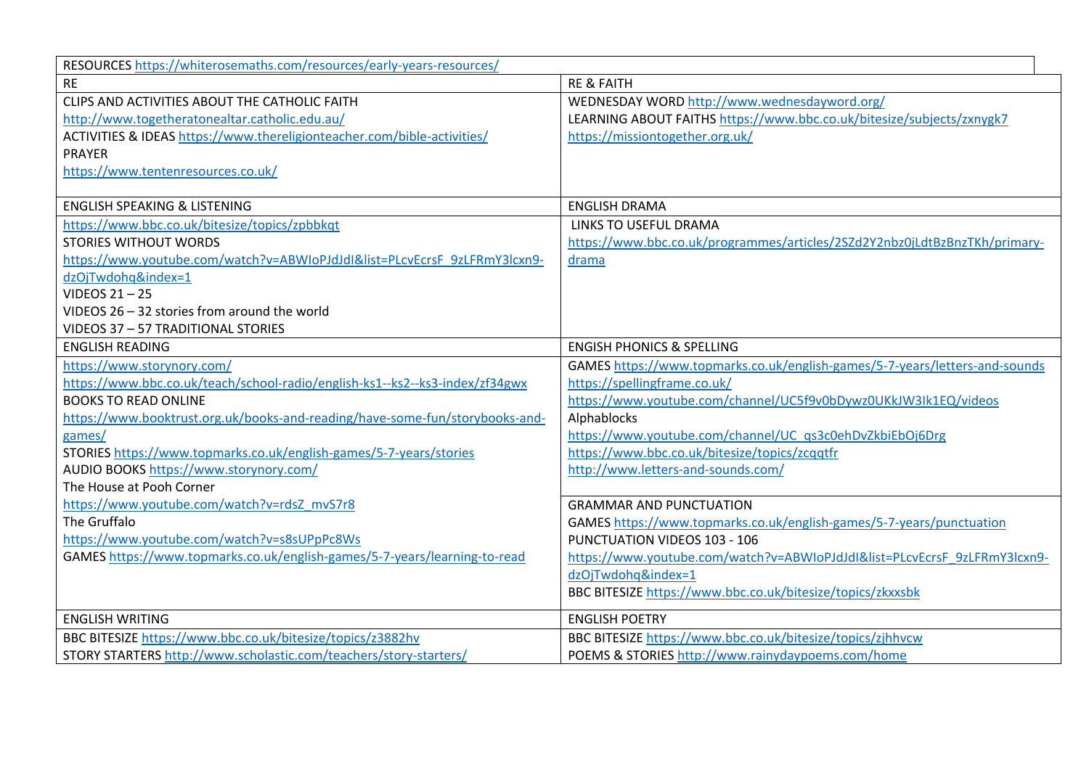| RESOURCES https://whiterosemaths.com/resources/early-years-resources/        |                                                                             |  |
|------------------------------------------------------------------------------|-----------------------------------------------------------------------------|--|
| <b>RE</b>                                                                    | <b>RE &amp; FAITH</b>                                                       |  |
| CLIPS AND ACTIVITIES ABOUT THE CATHOLIC FAITH                                | WEDNESDAY WORD http://www.wednesdayword.org/                                |  |
| http://www.togetheratonealtar.catholic.edu.au/                               | LEARNING ABOUT FAITHS https://www.bbc.co.uk/bitesize/subjects/zxnygk7       |  |
| ACTIVITIES & IDEAS https://www.thereligionteacher.com/bible-activities/      | https://missiontogether.org.uk/                                             |  |
| <b>PRAYER</b>                                                                |                                                                             |  |
| https://www.tentenresources.co.uk/                                           |                                                                             |  |
|                                                                              |                                                                             |  |
| <b>ENGLISH SPEAKING &amp; LISTENING</b>                                      | <b>ENGLISH DRAMA</b>                                                        |  |
| https://www.bbc.co.uk/bitesize/topics/zpbbkqt                                | <b>LINKS TO USEFUL DRAMA</b>                                                |  |
| <b>STORIES WITHOUT WORDS</b>                                                 | https://www.bbc.co.uk/programmes/articles/2SZd2Y2nbz0jLdtBzBnzTKh/primary-  |  |
| https://www.youtube.com/watch?v=ABWIoPJdJdI&list=PLcvEcrsF_9zLFRmY3lcxn9-    | drama                                                                       |  |
| dzOjTwdohg&index=1                                                           |                                                                             |  |
| VIDEOS 21-25                                                                 |                                                                             |  |
| VIDEOS 26 - 32 stories from around the world                                 |                                                                             |  |
| VIDEOS 37 - 57 TRADITIONAL STORIES                                           |                                                                             |  |
| <b>ENGLISH READING</b>                                                       | <b>ENGISH PHONICS &amp; SPELLING</b>                                        |  |
| https://www.storynory.com/                                                   | GAMES https://www.topmarks.co.uk/english-games/5-7-years/letters-and-sounds |  |
| https://www.bbc.co.uk/teach/school-radio/english-ks1--ks2--ks3-index/zf34gwx | https://spellingframe.co.uk/                                                |  |
| <b>BOOKS TO READ ONLINE</b>                                                  | https://www.youtube.com/channel/UC5f9v0bDywz0UKkJW3Ik1EQ/videos             |  |
| https://www.booktrust.org.uk/books-and-reading/have-some-fun/storybooks-and- | Alphablocks                                                                 |  |
| games/                                                                       | https://www.youtube.com/channel/UC qs3c0ehDvZkbiEbOj6Drg                    |  |
| STORIES https://www.topmarks.co.uk/english-games/5-7-years/stories           | https://www.bbc.co.uk/bitesize/topics/zcqqtfr                               |  |
| AUDIO BOOKS https://www.storynory.com/                                       | http://www.letters-and-sounds.com/                                          |  |
| The House at Pooh Corner                                                     |                                                                             |  |
| https://www.youtube.com/watch?v=rdsZ_mvS7r8                                  | <b>GRAMMAR AND PUNCTUATION</b>                                              |  |
| The Gruffalo                                                                 | GAMES https://www.topmarks.co.uk/english-games/5-7-years/punctuation        |  |
| https://www.youtube.com/watch?v=s8sUPpPc8Ws                                  | PUNCTUATION VIDEOS 103 - 106                                                |  |
| GAMES https://www.topmarks.co.uk/english-games/5-7-years/learning-to-read    | https://www.youtube.com/watch?v=ABWIoPJdJdI&list=PLcvEcrsF_9zLFRmY3lcxn9-   |  |
|                                                                              | dzOjTwdohq&index=1                                                          |  |
|                                                                              | BBC BITESIZE https://www.bbc.co.uk/bitesize/topics/zkxxsbk                  |  |
| <b>ENGLISH WRITING</b>                                                       | <b>ENGLISH POETRY</b>                                                       |  |
| BBC BITESIZE https://www.bbc.co.uk/bitesize/topics/z3882hv                   | BBC BITESIZE https://www.bbc.co.uk/bitesize/topics/zjhhvcw                  |  |
| STORY STARTERS http://www.scholastic.com/teachers/story-starters/            | POEMS & STORIES http://www.rainydaypoems.com/home                           |  |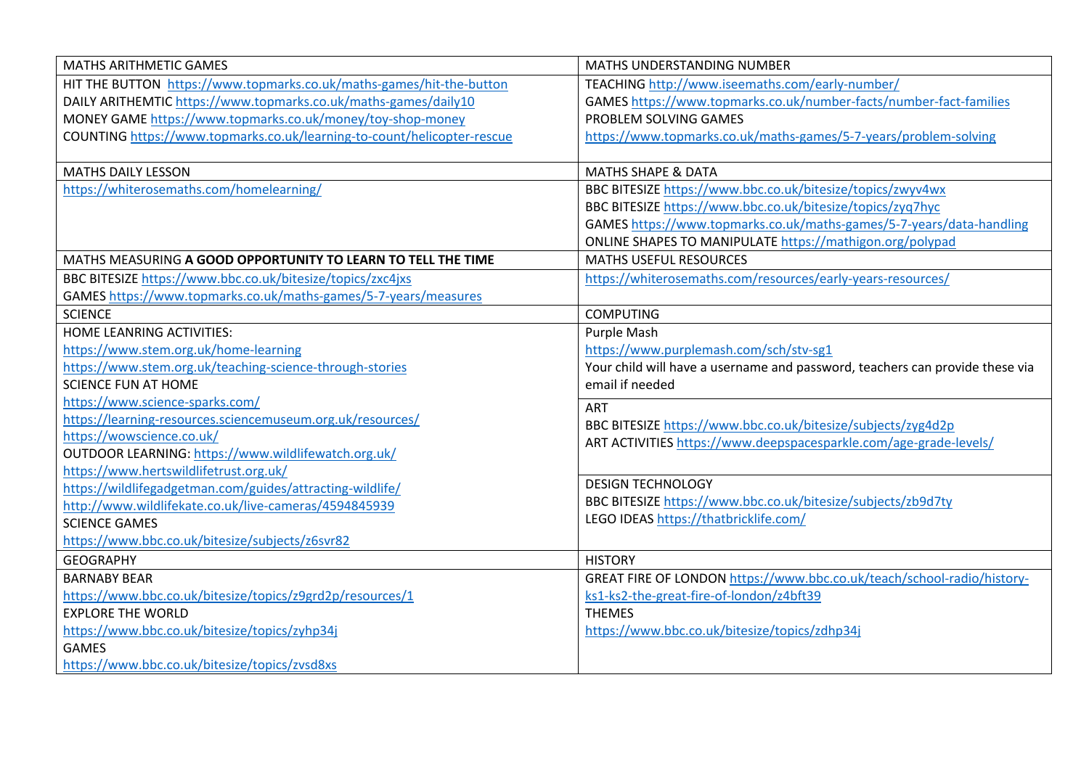| <b>MATHS ARITHMETIC GAMES</b>                                                         | <b>MATHS UNDERSTANDING NUMBER</b>                                            |
|---------------------------------------------------------------------------------------|------------------------------------------------------------------------------|
| HIT THE BUTTON https://www.topmarks.co.uk/maths-games/hit-the-button                  | TEACHING http://www.iseemaths.com/early-number/                              |
| DAILY ARITHEMTIC https://www.topmarks.co.uk/maths-games/daily10                       | GAMES https://www.topmarks.co.uk/number-facts/number-fact-families           |
| MONEY GAME https://www.topmarks.co.uk/money/toy-shop-money                            | PROBLEM SOLVING GAMES                                                        |
| COUNTING https://www.topmarks.co.uk/learning-to-count/helicopter-rescue               | https://www.topmarks.co.uk/maths-games/5-7-years/problem-solving             |
|                                                                                       |                                                                              |
| <b>MATHS DAILY LESSON</b>                                                             | <b>MATHS SHAPE &amp; DATA</b>                                                |
| https://whiterosemaths.com/homelearning/                                              | BBC BITESIZE https://www.bbc.co.uk/bitesize/topics/zwyv4wx                   |
|                                                                                       | BBC BITESIZE https://www.bbc.co.uk/bitesize/topics/zyq7hyc                   |
|                                                                                       | GAMES https://www.topmarks.co.uk/maths-games/5-7-years/data-handling         |
|                                                                                       | ONLINE SHAPES TO MANIPULATE https://mathigon.org/polypad                     |
| MATHS MEASURING A GOOD OPPORTUNITY TO LEARN TO TELL THE TIME                          | <b>MATHS USEFUL RESOURCES</b>                                                |
| BBC BITESIZE https://www.bbc.co.uk/bitesize/topics/zxc4jxs                            | https://whiterosemaths.com/resources/early-years-resources/                  |
| GAMES https://www.topmarks.co.uk/maths-games/5-7-years/measures                       |                                                                              |
| <b>SCIENCE</b>                                                                        | <b>COMPUTING</b>                                                             |
| HOME LEANRING ACTIVITIES:                                                             | Purple Mash                                                                  |
| https://www.stem.org.uk/home-learning                                                 | https://www.purplemash.com/sch/stv-sg1                                       |
| https://www.stem.org.uk/teaching-science-through-stories                              | Your child will have a username and password, teachers can provide these via |
| <b>SCIENCE FUN AT HOME</b>                                                            | email if needed                                                              |
| https://www.science-sparks.com/                                                       | <b>ART</b>                                                                   |
| https://learning-resources.sciencemuseum.org.uk/resources/                            | BBC BITESIZE https://www.bbc.co.uk/bitesize/subjects/zyg4d2p                 |
| https://wowscience.co.uk/                                                             | ART ACTIVITIES https://www.deepspacesparkle.com/age-grade-levels/            |
| OUTDOOR LEARNING: https://www.wildlifewatch.org.uk/                                   |                                                                              |
| https://www.hertswildlifetrust.org.uk/                                                | <b>DESIGN TECHNOLOGY</b>                                                     |
| https://wildlifegadgetman.com/guides/attracting-wildlife/                             | BBC BITESIZE https://www.bbc.co.uk/bitesize/subjects/zb9d7ty                 |
| http://www.wildlifekate.co.uk/live-cameras/4594845939<br><b>SCIENCE GAMES</b>         | LEGO IDEAS https://thatbricklife.com/                                        |
| https://www.bbc.co.uk/bitesize/subjects/z6svr82                                       |                                                                              |
|                                                                                       |                                                                              |
| <b>GEOGRAPHY</b>                                                                      | <b>HISTORY</b>                                                               |
| <b>BARNABY BEAR</b>                                                                   | GREAT FIRE OF LONDON https://www.bbc.co.uk/teach/school-radio/history-       |
| https://www.bbc.co.uk/bitesize/topics/z9grd2p/resources/1<br><b>EXPLORE THE WORLD</b> | ks1-ks2-the-great-fire-of-london/z4bft39<br><b>THEMES</b>                    |
| https://www.bbc.co.uk/bitesize/topics/zyhp34j                                         | https://www.bbc.co.uk/bitesize/topics/zdhp34j                                |
| <b>GAMES</b>                                                                          |                                                                              |
| https://www.bbc.co.uk/bitesize/topics/zvsd8xs                                         |                                                                              |